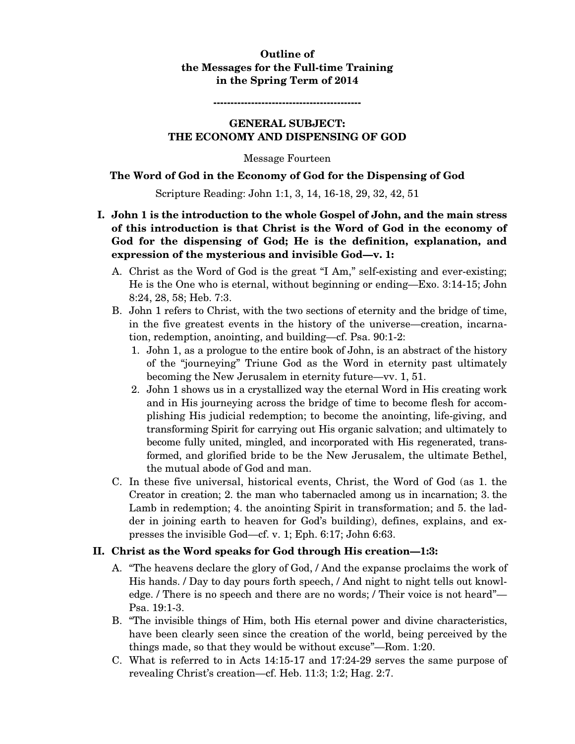### **Outline of the Messages for the Full-time Training in the Spring Term of 2014**

**-------------------------------------------** 

### **GENERAL SUBJECT: THE ECONOMY AND DISPENSING OF GOD**

Message Fourteen

### **The Word of God in the Economy of God for the Dispensing of God**

Scripture Reading: John 1:1, 3, 14, 16-18, 29, 32, 42, 51

- **I. John 1 is the introduction to the whole Gospel of John, and the main stress of this introduction is that Christ is the Word of God in the economy of God for the dispensing of God; He is the definition, explanation, and expression of the mysterious and invisible God—v. 1:** 
	- A. Christ as the Word of God is the great "I Am," self-existing and ever-existing; He is the One who is eternal, without beginning or ending—Exo. 3:14-15; John 8:24, 28, 58; Heb. 7:3.
	- B. John 1 refers to Christ, with the two sections of eternity and the bridge of time, in the five greatest events in the history of the universe—creation, incarnation, redemption, anointing, and building—cf. Psa. 90:1-2:
		- 1. John 1, as a prologue to the entire book of John, is an abstract of the history of the "journeying" Triune God as the Word in eternity past ultimately becoming the New Jerusalem in eternity future—vv. 1, 51.
		- 2. John 1 shows us in a crystallized way the eternal Word in His creating work and in His journeying across the bridge of time to become flesh for accomplishing His judicial redemption; to become the anointing, life-giving, and transforming Spirit for carrying out His organic salvation; and ultimately to become fully united, mingled, and incorporated with His regenerated, transformed, and glorified bride to be the New Jerusalem, the ultimate Bethel, the mutual abode of God and man.
	- C. In these five universal, historical events, Christ, the Word of God (as 1. the Creator in creation; 2. the man who tabernacled among us in incarnation; 3. the Lamb in redemption; 4. the anointing Spirit in transformation; and 5. the ladder in joining earth to heaven for God's building), defines, explains, and expresses the invisible God—cf. v. 1; Eph. 6:17; John 6:63.

### **II. Christ as the Word speaks for God through His creation—1:3:**

- A. "The heavens declare the glory of God, / And the expanse proclaims the work of His hands. / Day to day pours forth speech, / And night to night tells out knowledge. / There is no speech and there are no words; / Their voice is not heard"— Psa. 19:1-3.
- B. "The invisible things of Him, both His eternal power and divine characteristics, have been clearly seen since the creation of the world, being perceived by the things made, so that they would be without excuse"—Rom. 1:20.
- C. What is referred to in Acts 14:15-17 and 17:24-29 serves the same purpose of revealing Christ's creation—cf. Heb. 11:3; 1:2; Hag. 2:7.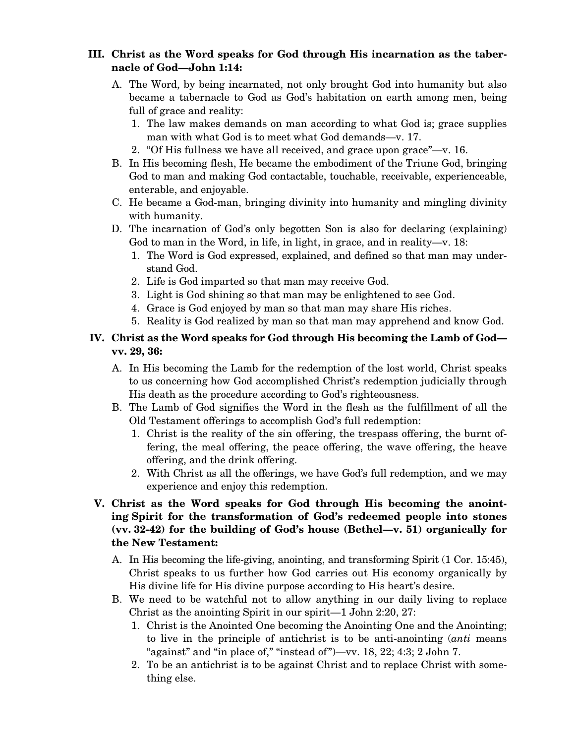## **III. Christ as the Word speaks for God through His incarnation as the tabernacle of God—John 1:14:**

- A. The Word, by being incarnated, not only brought God into humanity but also became a tabernacle to God as God's habitation on earth among men, being full of grace and reality:
	- 1. The law makes demands on man according to what God is; grace supplies man with what God is to meet what God demands—v. 17.
	- 2. "Of His fullness we have all received, and grace upon grace"—v. 16.
- B. In His becoming flesh, He became the embodiment of the Triune God, bringing God to man and making God contactable, touchable, receivable, experienceable, enterable, and enjoyable.
- C. He became a God-man, bringing divinity into humanity and mingling divinity with humanity.
- D. The incarnation of God's only begotten Son is also for declaring (explaining) God to man in the Word, in life, in light, in grace, and in reality—v. 18:
	- 1. The Word is God expressed, explained, and defined so that man may understand God.
	- 2. Life is God imparted so that man may receive God.
	- 3. Light is God shining so that man may be enlightened to see God.
	- 4. Grace is God enjoyed by man so that man may share His riches.
	- 5. Reality is God realized by man so that man may apprehend and know God.

## **IV. Christ as the Word speaks for God through His becoming the Lamb of God vv. 29, 36:**

- A. In His becoming the Lamb for the redemption of the lost world, Christ speaks to us concerning how God accomplished Christ's redemption judicially through His death as the procedure according to God's righteousness.
- B. The Lamb of God signifies the Word in the flesh as the fulfillment of all the Old Testament offerings to accomplish God's full redemption:
	- 1. Christ is the reality of the sin offering, the trespass offering, the burnt offering, the meal offering, the peace offering, the wave offering, the heave offering, and the drink offering.
	- 2. With Christ as all the offerings, we have God's full redemption, and we may experience and enjoy this redemption.

# **V. Christ as the Word speaks for God through His becoming the anointing Spirit for the transformation of God's redeemed people into stones (vv. 32-42) for the building of God's house (Bethel—v. 51) organically for the New Testament:**

- A. In His becoming the life-giving, anointing, and transforming Spirit (1 Cor. 15:45), Christ speaks to us further how God carries out His economy organically by His divine life for His divine purpose according to His heart's desire.
- B. We need to be watchful not to allow anything in our daily living to replace Christ as the anointing Spirit in our spirit—1 John 2:20, 27:
	- 1. Christ is the Anointed One becoming the Anointing One and the Anointing; to live in the principle of antichrist is to be anti-anointing (*anti* means "against" and "in place of," "instead of")—vv. 18, 22; 4:3; 2 John 7.
	- 2. To be an antichrist is to be against Christ and to replace Christ with something else.